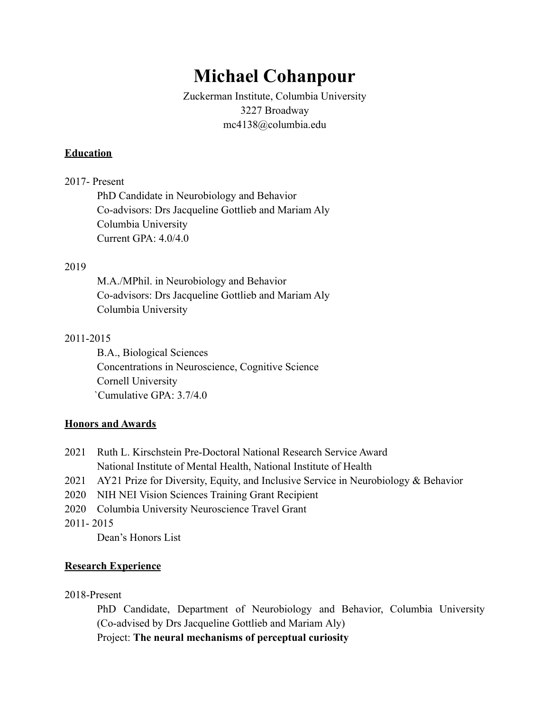# **Michael Cohanpour**

Zuckerman Institute, Columbia University 3227 Broadway mc4138@columbia.edu

#### **Education**

#### 2017- Present

PhD Candidate in Neurobiology and Behavior Co-advisors: Drs Jacqueline Gottlieb and Mariam Aly Columbia University Current GPA: 4.0/4.0

#### 2019

M.A./MPhil. in Neurobiology and Behavior Co-advisors: Drs Jacqueline Gottlieb and Mariam Aly Columbia University

#### 2011-2015

B.A., Biological Sciences Concentrations in Neuroscience, Cognitive Science Cornell University `Cumulative GPA: 3.7/4.0

## **Honors and Awards**

- 2021 Ruth L. Kirschstein Pre-Doctoral National Research Service Award National Institute of Mental Health, National Institute of Health
- 2021 AY21 Prize for Diversity, Equity, and Inclusive Service in Neurobiology & Behavior
- 2020 NIH NEI Vision Sciences Training Grant Recipient
- 2020 Columbia University Neuroscience Travel Grant

2011- 2015

Dean's Honors List

## **Research Experience**

2018-Present

PhD Candidate, Department of Neurobiology and Behavior, Columbia University (Co-advised by Drs Jacqueline Gottlieb and Mariam Aly) Project: **The neural mechanisms of perceptual curiosity**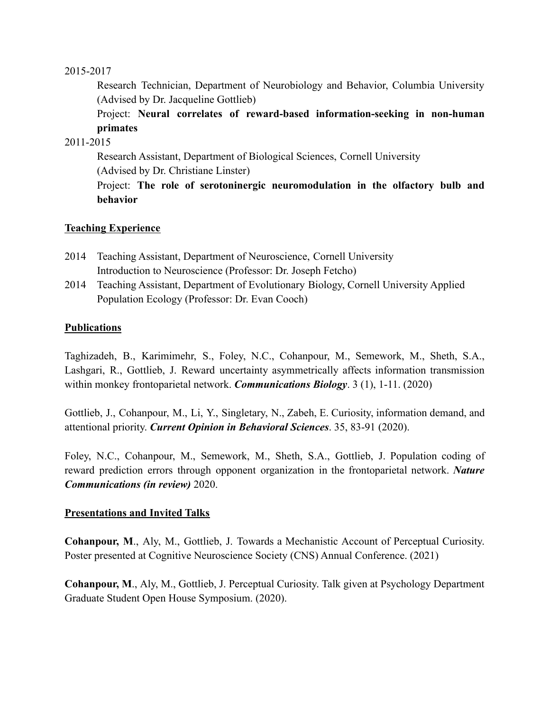#### 2015-2017

Research Technician, Department of Neurobiology and Behavior, Columbia University (Advised by Dr. Jacqueline Gottlieb)

Project: **Neural correlates of reward-based information-seeking in non-human primates**

#### 2011-2015

Research Assistant, Department of Biological Sciences, Cornell University (Advised by Dr. Christiane Linster) Project: **The role of serotoninergic neuromodulation in the olfactory bulb and behavior**

## **Teaching Experience**

- 2014 Teaching Assistant, Department of Neuroscience, Cornell University Introduction to Neuroscience (Professor: Dr. Joseph Fetcho)
- 2014 Teaching Assistant, Department of Evolutionary Biology, Cornell University Applied Population Ecology (Professor: Dr. Evan Cooch)

## **Publications**

Taghizadeh, B., Karimimehr, S., Foley, N.C., Cohanpour, M., Semework, M., Sheth, S.A., Lashgari, R., Gottlieb, J. Reward uncertainty asymmetrically affects information transmission within monkey frontoparietal network. *Communications Biology*. 3 (1), 1-11. (2020)

Gottlieb, J., Cohanpour, M., Li, Y., Singletary, N., Zabeh, E. Curiosity, information demand, and attentional priority. *Current Opinion in Behavioral Sciences*. 35, 83-91 (2020).

Foley, N.C., Cohanpour, M., Semework, M., Sheth, S.A., Gottlieb, J. Population coding of reward prediction errors through opponent organization in the frontoparietal network. *Nature Communications (in review)* 2020.

## **Presentations and Invited Talks**

**Cohanpour, M**., Aly, M., Gottlieb, J. Towards a Mechanistic Account of Perceptual Curiosity. Poster presented at Cognitive Neuroscience Society (CNS) Annual Conference. (2021)

**Cohanpour, M**., Aly, M., Gottlieb, J. Perceptual Curiosity. Talk given at Psychology Department Graduate Student Open House Symposium. (2020).